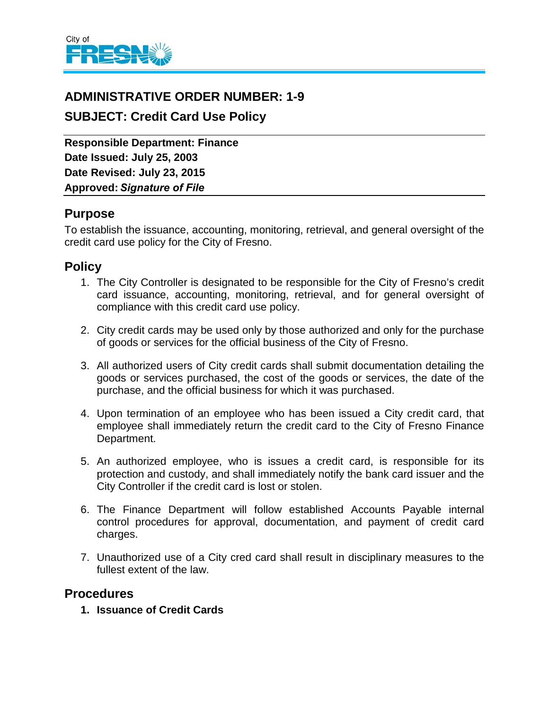

## **ADMINISTRATIVE ORDER NUMBER: 1-9**

# **SUBJECT: Credit Card Use Policy**

**Responsible Department: Finance Date Issued: July 25, 2003 Date Revised: July 23, 2015 Approved:** *Signature of File*

## **Purpose**

To establish the issuance, accounting, monitoring, retrieval, and general oversight of the credit card use policy for the City of Fresno.

## **Policy**

- 1. The City Controller is designated to be responsible for the City of Fresno's credit card issuance, accounting, monitoring, retrieval, and for general oversight of compliance with this credit card use policy.
- 2. City credit cards may be used only by those authorized and only for the purchase of goods or services for the official business of the City of Fresno.
- 3. All authorized users of City credit cards shall submit documentation detailing the goods or services purchased, the cost of the goods or services, the date of the purchase, and the official business for which it was purchased.
- 4. Upon termination of an employee who has been issued a City credit card, that employee shall immediately return the credit card to the City of Fresno Finance Department.
- 5. An authorized employee, who is issues a credit card, is responsible for its protection and custody, and shall immediately notify the bank card issuer and the City Controller if the credit card is lost or stolen.
- 6. The Finance Department will follow established Accounts Payable internal control procedures for approval, documentation, and payment of credit card charges.
- 7. Unauthorized use of a City cred card shall result in disciplinary measures to the fullest extent of the law.

### **Procedures**

**1. Issuance of Credit Cards**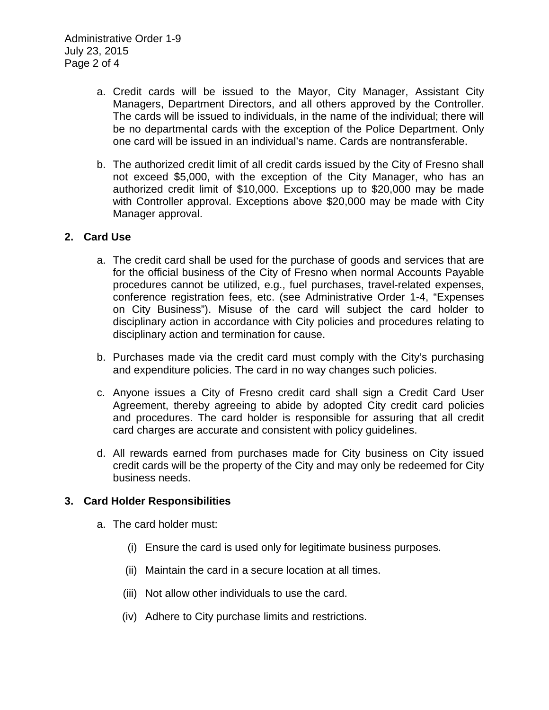Administrative Order 1-9 July 23, 2015 Page 2 of 4

- a. Credit cards will be issued to the Mayor, City Manager, Assistant City Managers, Department Directors, and all others approved by the Controller. The cards will be issued to individuals, in the name of the individual; there will be no departmental cards with the exception of the Police Department. Only one card will be issued in an individual's name. Cards are nontransferable.
- b. The authorized credit limit of all credit cards issued by the City of Fresno shall not exceed \$5,000, with the exception of the City Manager, who has an authorized credit limit of \$10,000. Exceptions up to \$20,000 may be made with Controller approval. Exceptions above \$20,000 may be made with City Manager approval.

#### **2. Card Use**

- a. The credit card shall be used for the purchase of goods and services that are for the official business of the City of Fresno when normal Accounts Payable procedures cannot be utilized, e.g., fuel purchases, travel-related expenses, conference registration fees, etc. (see Administrative Order 1-4, "Expenses on City Business"). Misuse of the card will subject the card holder to disciplinary action in accordance with City policies and procedures relating to disciplinary action and termination for cause.
- b. Purchases made via the credit card must comply with the City's purchasing and expenditure policies. The card in no way changes such policies.
- c. Anyone issues a City of Fresno credit card shall sign a Credit Card User Agreement, thereby agreeing to abide by adopted City credit card policies and procedures. The card holder is responsible for assuring that all credit card charges are accurate and consistent with policy guidelines.
- d. All rewards earned from purchases made for City business on City issued credit cards will be the property of the City and may only be redeemed for City business needs.

#### **3. Card Holder Responsibilities**

- a. The card holder must:
	- (i) Ensure the card is used only for legitimate business purposes.
	- (ii) Maintain the card in a secure location at all times.
	- (iii) Not allow other individuals to use the card.
	- (iv) Adhere to City purchase limits and restrictions.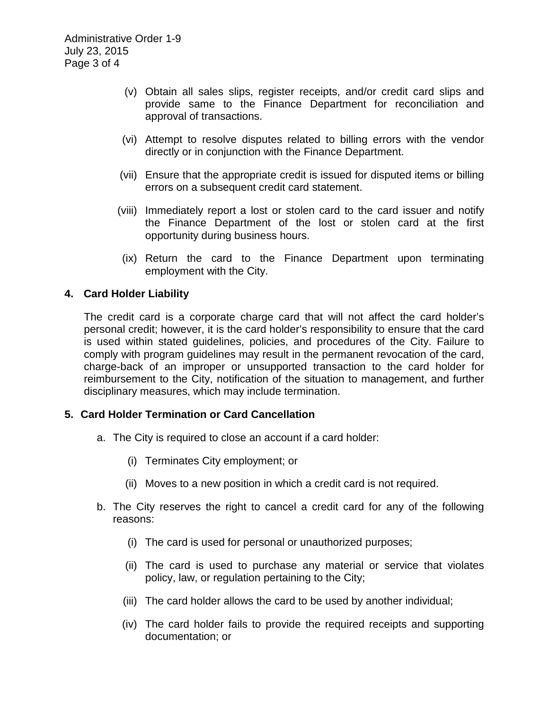- (v) Obtain all sales slips, register receipts, and/or credit card slips and provide same to the Finance Department for reconciliation and approval of transactions.
- (vi) Attempt to resolve disputes related to billing errors with the vendor directly or in conjunction with the Finance Department.
- (vii) Ensure that the appropriate credit is issued for disputed items or billing errors on a subsequent credit card statement.
- (viii) Immediately report a lost or stolen card to the card issuer and notify the Finance Department of the lost or stolen card at the first opportunity during business hours.
- (ix) Return the card to the Finance Department upon terminating employment with the City.

### **4. Card Holder Liability**

The credit card is a corporate charge card that will not affect the card holder's personal credit; however, it is the card holder's responsibility to ensure that the card is used within stated guidelines, policies, and procedures of the City. Failure to comply with program guidelines may result in the permanent revocation of the card, charge-back of an improper or unsupported transaction to the card holder for reimbursement to the City, notification of the situation to management, and further disciplinary measures, which may include termination.

#### **5. Card Holder Termination or Card Cancellation**

- a. The City is required to close an account if a card holder:
	- (i) Terminates City employment; or
	- (ii) Moves to a new position in which a credit card is not required.
- b. The City reserves the right to cancel a credit card for any of the following reasons:
	- (i) The card is used for personal or unauthorized purposes;
	- (ii) The card is used to purchase any material or service that violates policy, law, or regulation pertaining to the City;
	- (iii) The card holder allows the card to be used by another individual;
	- (iv) The card holder fails to provide the required receipts and supporting documentation; or